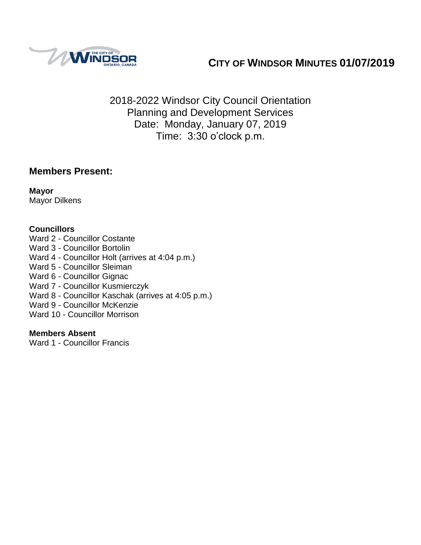

# **CITY OF WINDSOR MINUTES 01/07/2019**

2018-2022 Windsor City Council Orientation Planning and Development Services Date: Monday, January 07, 2019 Time: 3:30 o'clock p.m.

### **Members Present:**

**Mayor** Mayor Dilkens

### **Councillors**

Ward 2 - Councillor Costante Ward 3 - Councillor Bortolin Ward 4 - Councillor Holt (arrives at 4:04 p.m.) Ward 5 - Councillor Sleiman Ward 6 - Councillor Gignac Ward 7 - Councillor Kusmierczyk

- Ward 8 Councillor Kaschak (arrives at 4:05 p.m.)
- Ward 9 Councillor McKenzie
- Ward 10 Councillor Morrison

### **Members Absent**

Ward 1 - Councillor Francis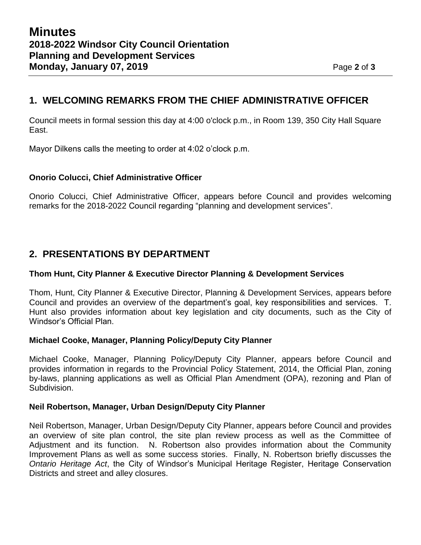### **1. WELCOMING REMARKS FROM THE CHIEF ADMINISTRATIVE OFFICER**

Council meets in formal session this day at 4:00 o'clock p.m., in Room 139, 350 City Hall Square East.

Mayor Dilkens calls the meeting to order at 4:02 o'clock p.m.

#### **Onorio Colucci, Chief Administrative Officer**

Onorio Colucci, Chief Administrative Officer, appears before Council and provides welcoming remarks for the 2018-2022 Council regarding "planning and development services".

### **2. PRESENTATIONS BY DEPARTMENT**

#### **Thom Hunt, City Planner & Executive Director Planning & Development Services**

Thom, Hunt, City Planner & Executive Director, Planning & Development Services, appears before Council and provides an overview of the department's goal, key responsibilities and services. T. Hunt also provides information about key legislation and city documents, such as the City of Windsor's Official Plan.

#### **Michael Cooke, Manager, Planning Policy/Deputy City Planner**

Michael Cooke, Manager, Planning Policy/Deputy City Planner, appears before Council and provides information in regards to the Provincial Policy Statement, 2014, the Official Plan, zoning by-laws, planning applications as well as Official Plan Amendment (OPA), rezoning and Plan of Subdivision.

#### **Neil Robertson, Manager, Urban Design/Deputy City Planner**

Neil Robertson, Manager, Urban Design/Deputy City Planner, appears before Council and provides an overview of site plan control, the site plan review process as well as the Committee of Adjustment and its function. N. Robertson also provides information about the Community Improvement Plans as well as some success stories. Finally, N. Robertson briefly discusses the *Ontario Heritage Act*, the City of Windsor's Municipal Heritage Register, Heritage Conservation Districts and street and alley closures.